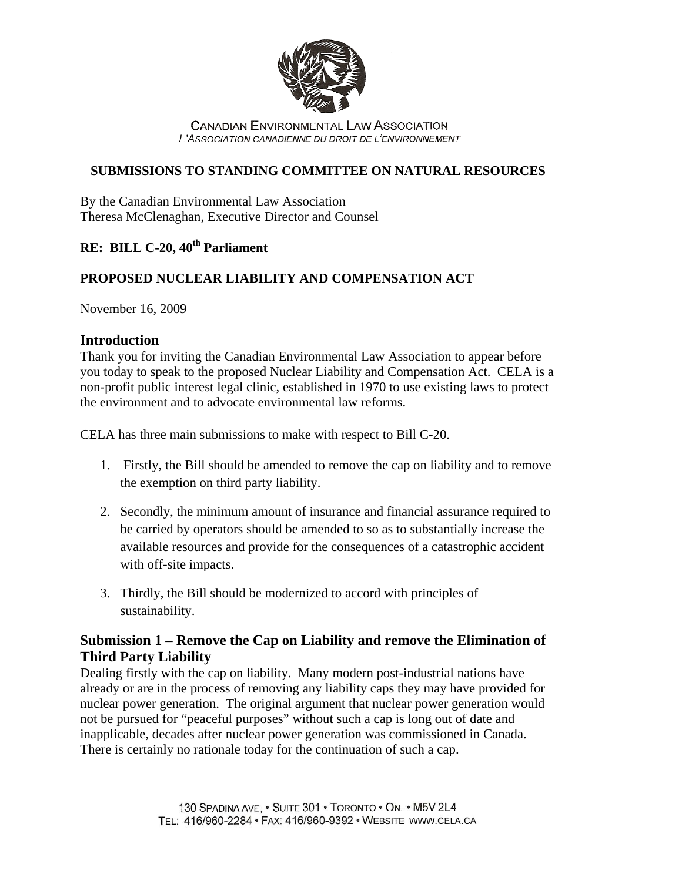

**CANADIAN ENVIRONMENTAL LAW ASSOCIATION** L'ASSOCIATION CANADIENNE DU DROIT DE L'ENVIRONNEMENT

### **SUBMISSIONS TO STANDING COMMITTEE ON NATURAL RESOURCES**

By the Canadian Environmental Law Association Theresa McClenaghan, Executive Director and Counsel

# **RE: BILL C-20, 40<sup>th</sup> Parliament**

### **PROPOSED NUCLEAR LIABILITY AND COMPENSATION ACT**

November 16, 2009

#### **Introduction**

Thank you for inviting the Canadian Environmental Law Association to appear before you today to speak to the proposed Nuclear Liability and Compensation Act. CELA is a non-profit public interest legal clinic, established in 1970 to use existing laws to protect the environment and to advocate environmental law reforms.

CELA has three main submissions to make with respect to Bill C-20.

- 1. Firstly, the Bill should be amended to remove the cap on liability and to remove the exemption on third party liability.
- 2. Secondly, the minimum amount of insurance and financial assurance required to be carried by operators should be amended to so as to substantially increase the available resources and provide for the consequences of a catastrophic accident with off-site impacts.
- 3. Thirdly, the Bill should be modernized to accord with principles of sustainability.

## **Submission 1 – Remove the Cap on Liability and remove the Elimination of Third Party Liability**

Dealing firstly with the cap on liability. Many modern post-industrial nations have already or are in the process of removing any liability caps they may have provided for nuclear power generation. The original argument that nuclear power generation would not be pursued for "peaceful purposes" without such a cap is long out of date and inapplicable, decades after nuclear power generation was commissioned in Canada. There is certainly no rationale today for the continuation of such a cap.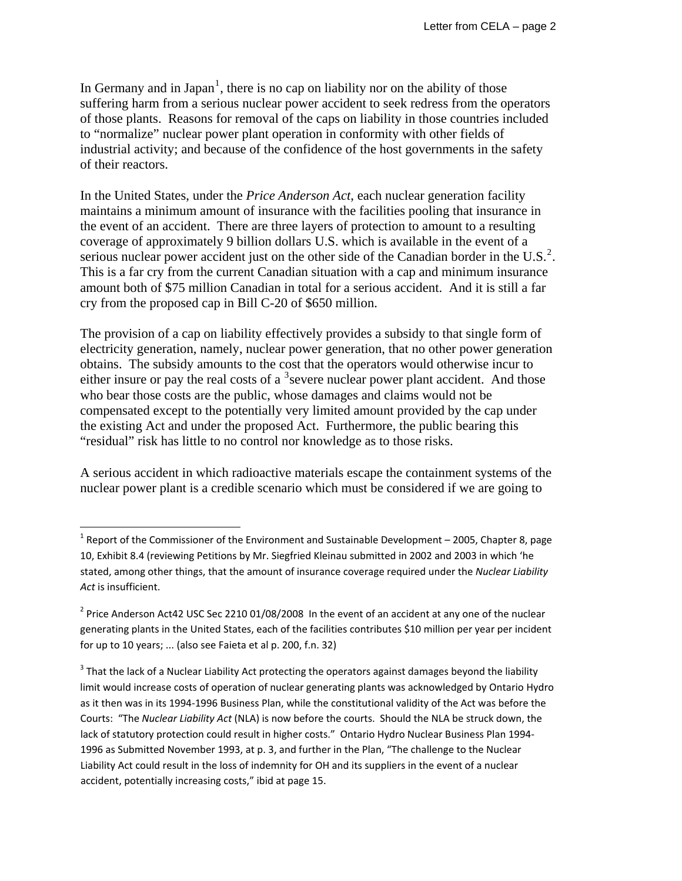In Germany and in Japan<sup>[1](#page-1-0)</sup>, there is no cap on liability nor on the ability of those suffering harm from a serious nuclear power accident to seek redress from the operators of those plants. Reasons for removal of the caps on liability in those countries included to "normalize" nuclear power plant operation in conformity with other fields of industrial activity; and because of the confidence of the host governments in the safety of their reactors.

In the United States, under the *Price Anderson Act*, each nuclear generation facility maintains a minimum amount of insurance with the facilities pooling that insurance in the event of an accident. There are three layers of protection to amount to a resulting coverage of approximately 9 billion dollars U.S. which is available in the event of a serious nuclear power accident just on the other side of the Canadian border in the U.S.<sup>[2](#page-1-1)</sup>. This is a far cry from the current Canadian situation with a cap and minimum insurance amount both of \$75 million Canadian in total for a serious accident. And it is still a far cry from the proposed cap in Bill C-20 of \$650 million.

The provision of a cap on liability effectively provides a subsidy to that single form of electricity generation, namely, nuclear power generation, that no other power generation obtains. The subsidy amounts to the cost that the operators would otherwise incur to either insure or pay the real costs of a  $3$  severe nuclear power plant accident. And those who bear those costs are the public, whose damages and claims would not be compensated except to the potentially very limited amount provided by the cap under the existing Act and under the proposed Act. Furthermore, the public bearing this "residual" risk has little to no control nor knowledge as to those risks.

A serious accident in which radioactive materials escape the containment systems of the nuclear power plant is a credible scenario which must be considered if we are going to

<span id="page-1-0"></span> $1$  Report of the Commissioner of the Environment and Sustainable Development – 2005, Chapter 8, page 10, Exhibit 8.4 (reviewing Petitions by Mr. Siegfried Kleinau submitted in 2002 and 2003 in which 'he stated, among other things, that the amount of insurance coverage required under the *Nuclear Liability Act* is insufficient.

<span id="page-1-1"></span> $2$  Price Anderson Act42 USC Sec 2210 01/08/2008 In the event of an accident at any one of the nuclear generating plants in the United States, each of the facilities contributes \$10 million per year per incident for up to 10 years; ... (also see Faieta et al p. 200, f.n. 32)

<span id="page-1-2"></span> $3$  That the lack of a Nuclear Liability Act protecting the operators against damages beyond the liability limit would increase costs of operation of nuclear generating plants was acknowledged by Ontario Hydro as it then was in its 1994‐1996 Business Plan, while the constitutional validity of the Act was before the Courts: "The *Nuclear Liability Act* (NLA) is now before the courts. Should the NLA be struck down, the lack of statutory protection could result in higher costs." Ontario Hydro Nuclear Business Plan 1994‐ 1996 as Submitted November 1993, at p. 3, and further in the Plan, "The challenge to the Nuclear Liability Act could result in the loss of indemnity for OH and its suppliers in the event of a nuclear accident, potentially increasing costs," ibid at page 15.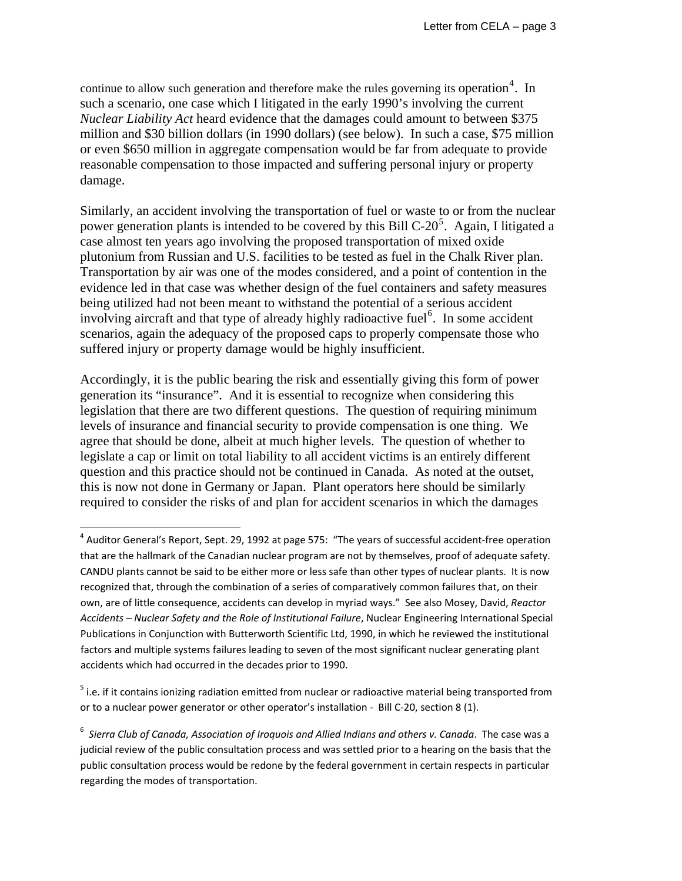continue to allow such generation and therefore make the rules governing its operation<sup>[4](#page-2-0)</sup>. In such a scenario, one case which I litigated in the early 1990's involving the current *Nuclear Liability Act* heard evidence that the damages could amount to between \$375 million and \$30 billion dollars (in 1990 dollars) (see below). In such a case, \$75 million or even \$650 million in aggregate compensation would be far from adequate to provide reasonable compensation to those impacted and suffering personal injury or property damage.

Similarly, an accident involving the transportation of fuel or waste to or from the nuclear power generation plants is intended to be covered by this Bill C-20<sup>[5](#page-2-1)</sup>. Again, I litigated a case almost ten years ago involving the proposed transportation of mixed oxide plutonium from Russian and U.S. facilities to be tested as fuel in the Chalk River plan. Transportation by air was one of the modes considered, and a point of contention in the evidence led in that case was whether design of the fuel containers and safety measures being utilized had not been meant to withstand the potential of a serious accident involving aircraft and that type of already highly radioactive fuel<sup>[6](#page-2-2)</sup>. In some accident scenarios, again the adequacy of the proposed caps to properly compensate those who suffered injury or property damage would be highly insufficient.

Accordingly, it is the public bearing the risk and essentially giving this form of power generation its "insurance". And it is essential to recognize when considering this legislation that there are two different questions. The question of requiring minimum levels of insurance and financial security to provide compensation is one thing. We agree that should be done, albeit at much higher levels. The question of whether to legislate a cap or limit on total liability to all accident victims is an entirely different question and this practice should not be continued in Canada. As noted at the outset, this is now not done in Germany or Japan. Plant operators here should be similarly required to consider the risks of and plan for accident scenarios in which the damages

<span id="page-2-0"></span> $^4$  Auditor General's Report, Sept. 29, 1992 at page 575: "The years of successful accident-free operation that are the hallmark of the Canadian nuclear program are not by themselves, proof of adequate safety. CANDU plants cannot be said to be either more or less safe than other types of nuclear plants. It is now recognized that, through the combination of a series of comparatively common failures that, on their own, are of little consequence, accidents can develop in myriad ways." See also Mosey, David, *Reactor Accidents – Nuclear Safety and the Role of Institutional Failure*, Nuclear Engineering International Special Publications in Conjunction with Butterworth Scientific Ltd, 1990, in which he reviewed the institutional factors and multiple systems failures leading to seven of the most significant nuclear generating plant accidents which had occurred in the decades prior to 1990.

<span id="page-2-1"></span><sup>&</sup>lt;sup>5</sup> i.e. if it contains ionizing radiation emitted from nuclear or radioactive material being transported from or to a nuclear power generator or other operator's installation ‐ Bill C‐20, section 8 (1).

<span id="page-2-2"></span><sup>6</sup> *Sierra Club of Canada, Association of Iroquois and Allied Indians and others v. Canada*. The case was a judicial review of the public consultation process and was settled prior to a hearing on the basis that the public consultation process would be redone by the federal government in certain respects in particular regarding the modes of transportation.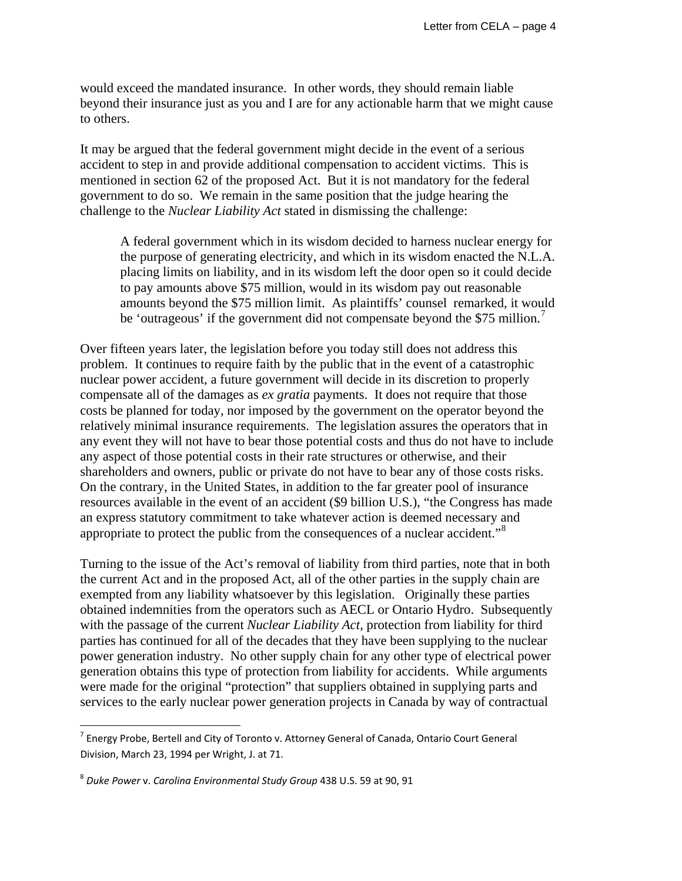would exceed the mandated insurance. In other words, they should remain liable beyond their insurance just as you and I are for any actionable harm that we might cause to others.

It may be argued that the federal government might decide in the event of a serious accident to step in and provide additional compensation to accident victims. This is mentioned in section 62 of the proposed Act. But it is not mandatory for the federal government to do so. We remain in the same position that the judge hearing the challenge to the *Nuclear Liability Act* stated in dismissing the challenge:

A federal government which in its wisdom decided to harness nuclear energy for the purpose of generating electricity, and which in its wisdom enacted the N.L.A. placing limits on liability, and in its wisdom left the door open so it could decide to pay amounts above \$75 million, would in its wisdom pay out reasonable amounts beyond the \$75 million limit. As plaintiffs' counsel remarked, it would be 'outrageous' if the government did not compensate beyond the \$[7](#page-3-0)5 million.<sup>7</sup>

Over fifteen years later, the legislation before you today still does not address this problem. It continues to require faith by the public that in the event of a catastrophic nuclear power accident, a future government will decide in its discretion to properly compensate all of the damages as *ex gratia* payments. It does not require that those costs be planned for today, nor imposed by the government on the operator beyond the relatively minimal insurance requirements. The legislation assures the operators that in any event they will not have to bear those potential costs and thus do not have to include any aspect of those potential costs in their rate structures or otherwise, and their shareholders and owners, public or private do not have to bear any of those costs risks. On the contrary, in the United States, in addition to the far greater pool of insurance resources available in the event of an accident (\$9 billion U.S.), "the Congress has made an express statutory commitment to take whatever action is deemed necessary and appropriate to protect the public from the consequences of a nuclear accident."[8](#page-3-1)

Turning to the issue of the Act's removal of liability from third parties, note that in both the current Act and in the proposed Act, all of the other parties in the supply chain are exempted from any liability whatsoever by this legislation. Originally these parties obtained indemnities from the operators such as AECL or Ontario Hydro. Subsequently with the passage of the current *Nuclear Liability Act*, protection from liability for third parties has continued for all of the decades that they have been supplying to the nuclear power generation industry. No other supply chain for any other type of electrical power generation obtains this type of protection from liability for accidents. While arguments were made for the original "protection" that suppliers obtained in supplying parts and services to the early nuclear power generation projects in Canada by way of contractual

<span id="page-3-0"></span> $7$  Energy Probe, Bertell and City of Toronto v. Attorney General of Canada, Ontario Court General Division, March 23, 1994 per Wright, J. at 71.

<span id="page-3-1"></span><sup>8</sup> *Duke Power* v. *Carolina Environmental Study Group* 438 U.S. 59 at 90, 91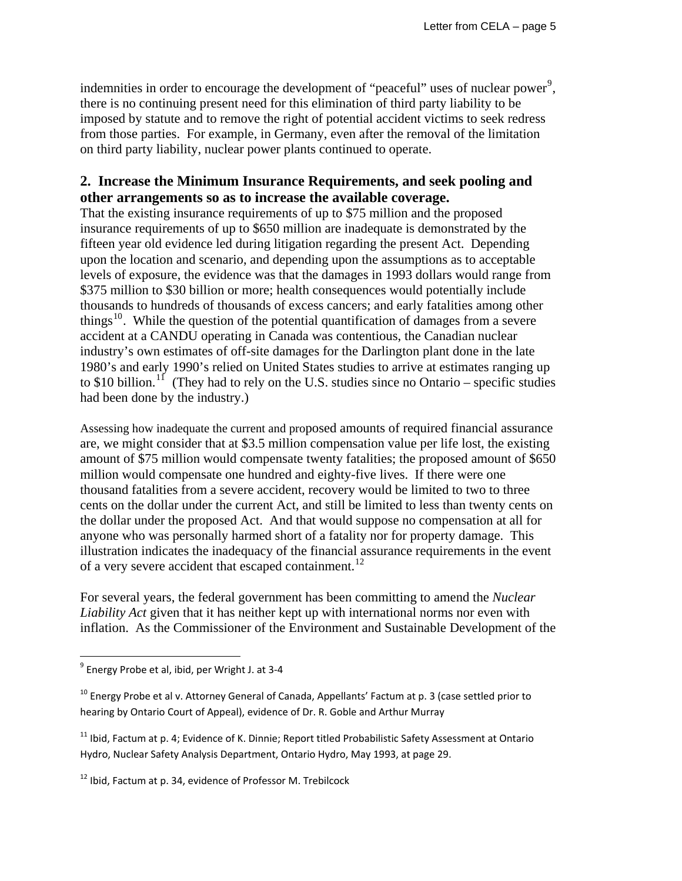indemnities in order to encourage the development of "peaceful" uses of nuclear power<sup>[9](#page-4-0)</sup>, there is no continuing present need for this elimination of third party liability to be imposed by statute and to remove the right of potential accident victims to seek redress from those parties. For example, in Germany, even after the removal of the limitation on third party liability, nuclear power plants continued to operate.

### **2. Increase the Minimum Insurance Requirements, and seek pooling and other arrangements so as to increase the available coverage.**

That the existing insurance requirements of up to \$75 million and the proposed insurance requirements of up to \$650 million are inadequate is demonstrated by the fifteen year old evidence led during litigation regarding the present Act. Depending upon the location and scenario, and depending upon the assumptions as to acceptable levels of exposure, the evidence was that the damages in 1993 dollars would range from \$375 million to \$30 billion or more; health consequences would potentially include thousands to hundreds of thousands of excess cancers; and early fatalities among other things<sup>[10](#page-4-1)</sup>. While the question of the potential quantification of damages from a severe accident at a CANDU operating in Canada was contentious, the Canadian nuclear industry's own estimates of off-site damages for the Darlington plant done in the late 1980's and early 1990's relied on United States studies to arrive at estimates ranging up to \$10 billion.<sup>[11](#page-4-2)</sup> (They had to rely on the U.S. studies since no Ontario – specific studies had been done by the industry.)

Assessing how inadequate the current and proposed amounts of required financial assurance are, we might consider that at \$3.5 million compensation value per life lost, the existing amount of \$75 million would compensate twenty fatalities; the proposed amount of \$650 million would compensate one hundred and eighty-five lives. If there were one thousand fatalities from a severe accident, recovery would be limited to two to three cents on the dollar under the current Act, and still be limited to less than twenty cents on the dollar under the proposed Act. And that would suppose no compensation at all for anyone who was personally harmed short of a fatality nor for property damage. This illustration indicates the inadequacy of the financial assurance requirements in the event of a very severe accident that escaped containment.<sup>[12](#page-4-3)</sup>

For several years, the federal government has been committing to amend the *Nuclear Liability Act* given that it has neither kept up with international norms nor even with inflation. As the Commissioner of the Environment and Sustainable Development of the

<span id="page-4-0"></span> $^9$  Energy Probe et al, ibid, per Wright J. at 3-4

<span id="page-4-1"></span><sup>&</sup>lt;sup>10</sup> Energy Probe et al v. Attorney General of Canada, Appellants' Factum at p. 3 (case settled prior to hearing by Ontario Court of Appeal), evidence of Dr. R. Goble and Arthur Murray

<span id="page-4-2"></span><sup>&</sup>lt;sup>11</sup> Ibid, Factum at p. 4; Evidence of K. Dinnie; Report titled Probabilistic Safety Assessment at Ontario Hydro, Nuclear Safety Analysis Department, Ontario Hydro, May 1993, at page 29.

<span id="page-4-3"></span><sup>&</sup>lt;sup>12</sup> Ibid, Factum at p. 34, evidence of Professor M. Trebilcock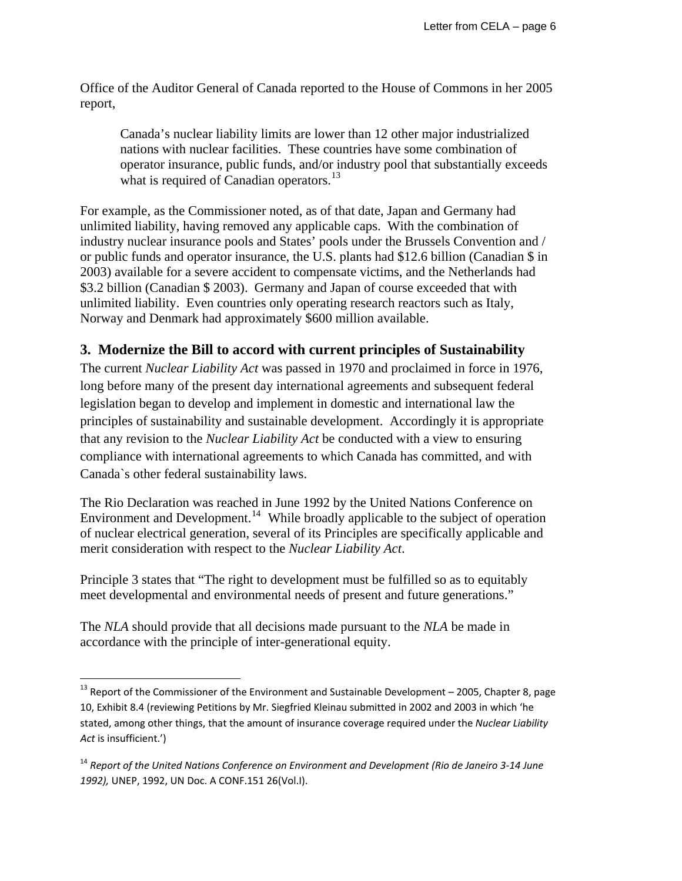Office of the Auditor General of Canada reported to the House of Commons in her 2005 report,

Canada's nuclear liability limits are lower than 12 other major industrialized nations with nuclear facilities. These countries have some combination of operator insurance, public funds, and/or industry pool that substantially exceeds what is required of Canadian operators.<sup>[13](#page-5-0)</sup>

For example, as the Commissioner noted, as of that date, Japan and Germany had unlimited liability, having removed any applicable caps. With the combination of industry nuclear insurance pools and States' pools under the Brussels Convention and / or public funds and operator insurance, the U.S. plants had \$12.6 billion (Canadian \$ in 2003) available for a severe accident to compensate victims, and the Netherlands had \$3.2 billion (Canadian \$ 2003). Germany and Japan of course exceeded that with unlimited liability. Even countries only operating research reactors such as Italy, Norway and Denmark had approximately \$600 million available.

### **3. Modernize the Bill to accord with current principles of Sustainability**

The current *Nuclear Liability Act* was passed in 1970 and proclaimed in force in 1976, long before many of the present day international agreements and subsequent federal legislation began to develop and implement in domestic and international law the principles of sustainability and sustainable development. Accordingly it is appropriate that any revision to the *Nuclear Liability Act* be conducted with a view to ensuring compliance with international agreements to which Canada has committed, and with Canada`s other federal sustainability laws.

The Rio Declaration was reached in June 1992 by the United Nations Conference on Environment and Development.<sup>[14](#page-5-1)</sup> While broadly applicable to the subject of operation of nuclear electrical generation, several of its Principles are specifically applicable and merit consideration with respect to the *Nuclear Liability Act*.

Principle 3 states that "The right to development must be fulfilled so as to equitably meet developmental and environmental needs of present and future generations."

The *NLA* should provide that all decisions made pursuant to the *NLA* be made in accordance with the principle of inter-generational equity.

<span id="page-5-0"></span> $^{13}$  Report of the Commissioner of the Environment and Sustainable Development – 2005, Chapter 8, page 10, Exhibit 8.4 (reviewing Petitions by Mr. Siegfried Kleinau submitted in 2002 and 2003 in which 'he stated, among other things, that the amount of insurance coverage required under the *Nuclear Liability Act* is insufficient.')

<span id="page-5-1"></span><sup>14</sup> *Report of the United Nations Conference on Environment and Development (Rio de Janeiro 3‐14 June 1992),* UNEP, 1992, UN Doc. A CONF.151 26(Vol.I).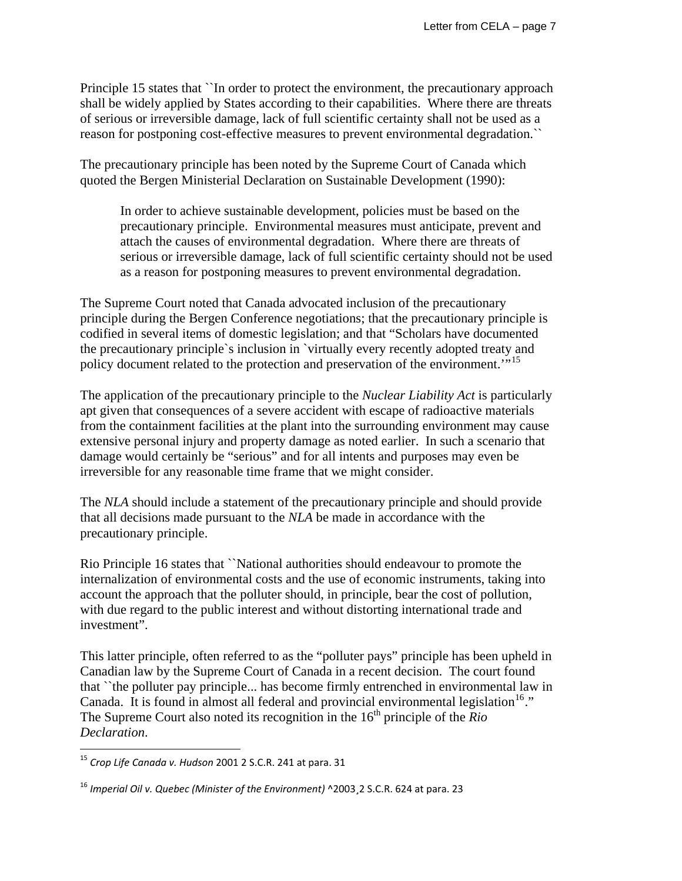Principle 15 states that ``In order to protect the environment, the precautionary approach shall be widely applied by States according to their capabilities. Where there are threats of serious or irreversible damage, lack of full scientific certainty shall not be used as a reason for postponing cost-effective measures to prevent environmental degradation.``

The precautionary principle has been noted by the Supreme Court of Canada which quoted the Bergen Ministerial Declaration on Sustainable Development (1990):

In order to achieve sustainable development, policies must be based on the precautionary principle. Environmental measures must anticipate, prevent and attach the causes of environmental degradation. Where there are threats of serious or irreversible damage, lack of full scientific certainty should not be used as a reason for postponing measures to prevent environmental degradation.

The Supreme Court noted that Canada advocated inclusion of the precautionary principle during the Bergen Conference negotiations; that the precautionary principle is codified in several items of domestic legislation; and that "Scholars have documented the precautionary principle`s inclusion in `virtually every recently adopted treaty and policy document related to the protection and preservation of the environment."<sup>[15](#page-6-0)</sup>

The application of the precautionary principle to the *Nuclear Liability Act* is particularly apt given that consequences of a severe accident with escape of radioactive materials from the containment facilities at the plant into the surrounding environment may cause extensive personal injury and property damage as noted earlier. In such a scenario that damage would certainly be "serious" and for all intents and purposes may even be irreversible for any reasonable time frame that we might consider.

The *NLA* should include a statement of the precautionary principle and should provide that all decisions made pursuant to the *NLA* be made in accordance with the precautionary principle.

Rio Principle 16 states that ``National authorities should endeavour to promote the internalization of environmental costs and the use of economic instruments, taking into account the approach that the polluter should, in principle, bear the cost of pollution, with due regard to the public interest and without distorting international trade and investment".

This latter principle, often referred to as the "polluter pays" principle has been upheld in Canadian law by the Supreme Court of Canada in a recent decision. The court found that ``the polluter pay principle... has become firmly entrenched in environmental law in Canada. It is found in almost all federal and provincial environmental legislation<sup>[16](#page-6-1)</sup>." The Supreme Court also noted its recognition in the 16<sup>th</sup> principle of the *Rio Declaration*.

<span id="page-6-0"></span><sup>15</sup> *Crop Life Canada v. Hudson* 2001 2 S.C.R. 241 at para. 31

<span id="page-6-1"></span><sup>16</sup> *Imperial Oil v. Quebec (Minister of the Environment)* ^2003¸2 S.C.R. 624 at para. 23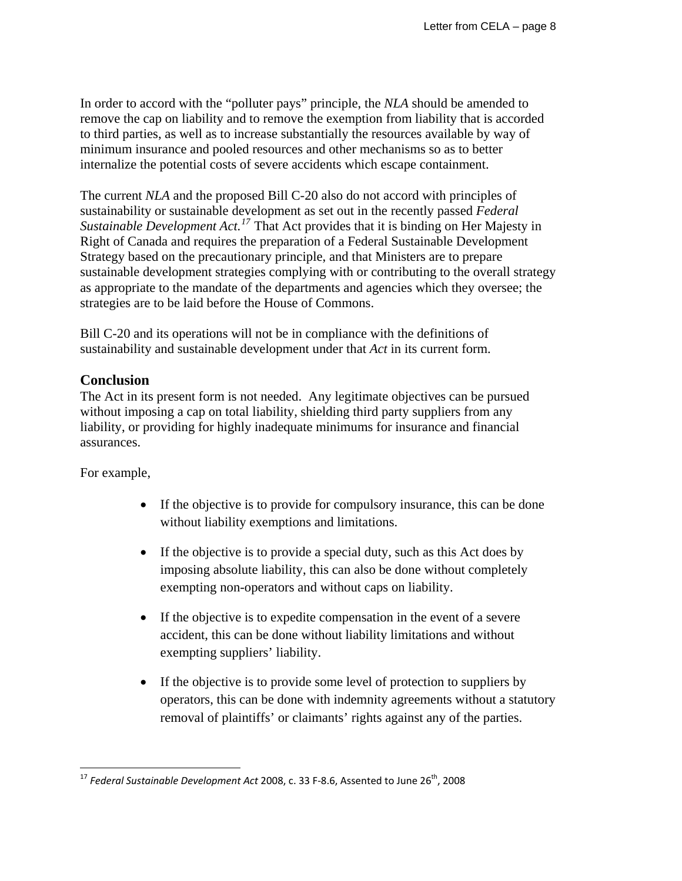In order to accord with the "polluter pays" principle, the *NLA* should be amended to remove the cap on liability and to remove the exemption from liability that is accorded to third parties, as well as to increase substantially the resources available by way of minimum insurance and pooled resources and other mechanisms so as to better internalize the potential costs of severe accidents which escape containment.

The current *NLA* and the proposed Bill C-20 also do not accord with principles of sustainability or sustainable development as set out in the recently passed *Federal Sustainable Development Act.[17](#page-7-0)* That Act provides that it is binding on Her Majesty in Right of Canada and requires the preparation of a Federal Sustainable Development Strategy based on the precautionary principle, and that Ministers are to prepare sustainable development strategies complying with or contributing to the overall strategy as appropriate to the mandate of the departments and agencies which they oversee; the strategies are to be laid before the House of Commons.

Bill C-20 and its operations will not be in compliance with the definitions of sustainability and sustainable development under that *Act* in its current form.

#### **Conclusion**

The Act in its present form is not needed. Any legitimate objectives can be pursued without imposing a cap on total liability, shielding third party suppliers from any liability, or providing for highly inadequate minimums for insurance and financial assurances.

For example,

- If the objective is to provide for compulsory insurance, this can be done without liability exemptions and limitations.
- If the objective is to provide a special duty, such as this Act does by imposing absolute liability, this can also be done without completely exempting non-operators and without caps on liability.
- If the objective is to expedite compensation in the event of a severe accident, this can be done without liability limitations and without exempting suppliers' liability.
- If the objective is to provide some level of protection to suppliers by operators, this can be done with indemnity agreements without a statutory removal of plaintiffs' or claimants' rights against any of the parties.

<span id="page-7-0"></span><sup>17</sup> *Federal Sustainable Development Act* 2008, c. 33 F‐8.6, Assented to June 26th, 2008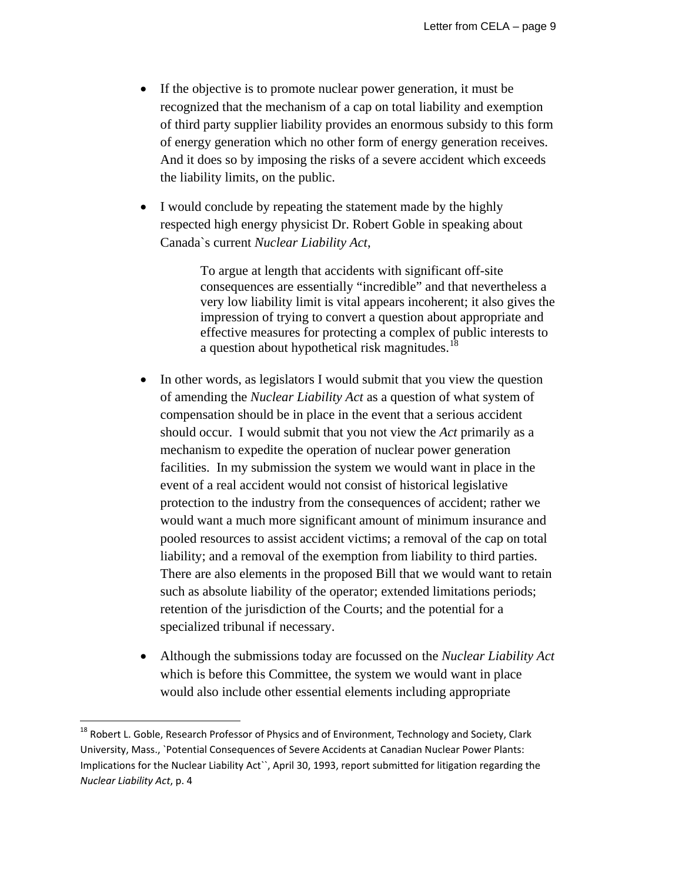- If the objective is to promote nuclear power generation, it must be recognized that the mechanism of a cap on total liability and exemption of third party supplier liability provides an enormous subsidy to this form of energy generation which no other form of energy generation receives. And it does so by imposing the risks of a severe accident which exceeds the liability limits, on the public.
- I would conclude by repeating the statement made by the highly respected high energy physicist Dr. Robert Goble in speaking about Canada`s current *Nuclear Liability Act*,

To argue at length that accidents with significant off-site consequences are essentially "incredible" and that nevertheless a very low liability limit is vital appears incoherent; it also gives the impression of trying to convert a question about appropriate and effective measures for protecting a complex of public interests to a question about hypothetical risk magnitudes.<sup>[18](#page-8-0)</sup>

- In other words, as legislators I would submit that you view the question of amending the *Nuclear Liability Act* as a question of what system of compensation should be in place in the event that a serious accident should occur. I would submit that you not view the *Act* primarily as a mechanism to expedite the operation of nuclear power generation facilities. In my submission the system we would want in place in the event of a real accident would not consist of historical legislative protection to the industry from the consequences of accident; rather we would want a much more significant amount of minimum insurance and pooled resources to assist accident victims; a removal of the cap on total liability; and a removal of the exemption from liability to third parties. There are also elements in the proposed Bill that we would want to retain such as absolute liability of the operator; extended limitations periods; retention of the jurisdiction of the Courts; and the potential for a specialized tribunal if necessary.
- Although the submissions today are focussed on the *Nuclear Liability Act* which is before this Committee, the system we would want in place would also include other essential elements including appropriate

<span id="page-8-0"></span><sup>&</sup>lt;sup>18</sup> Robert L. Goble, Research Professor of Physics and of Environment, Technology and Society, Clark University, Mass., `Potential Consequences of Severe Accidents at Canadian Nuclear Power Plants: Implications for the Nuclear Liability Act``, April 30, 1993, report submitted for litigation regarding the *Nuclear Liability Act*, p. 4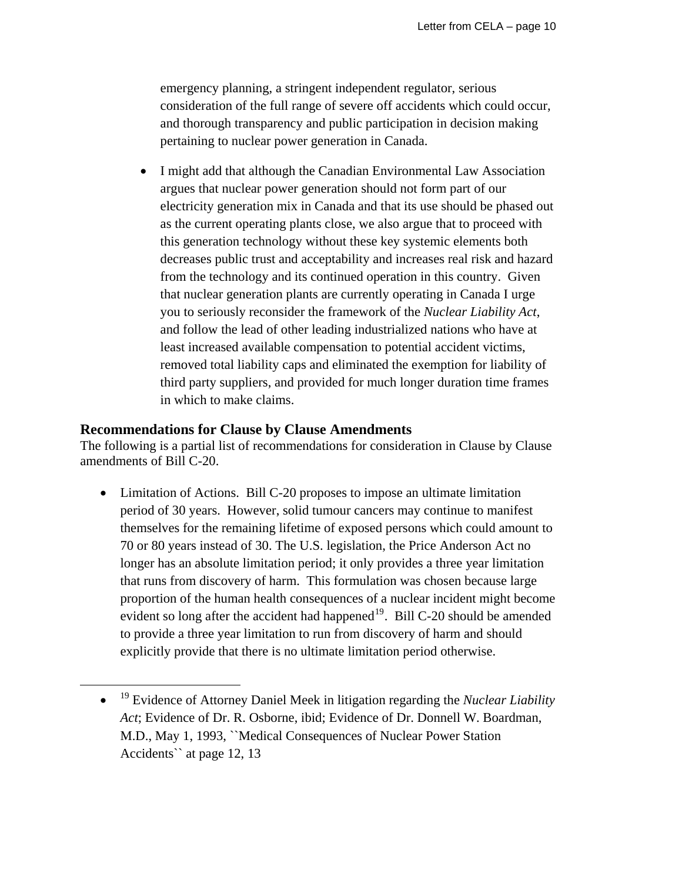emergency planning, a stringent independent regulator, serious consideration of the full range of severe off accidents which could occur, and thorough transparency and public participation in decision making pertaining to nuclear power generation in Canada.

• I might add that although the Canadian Environmental Law Association argues that nuclear power generation should not form part of our electricity generation mix in Canada and that its use should be phased out as the current operating plants close, we also argue that to proceed with this generation technology without these key systemic elements both decreases public trust and acceptability and increases real risk and hazard from the technology and its continued operation in this country. Given that nuclear generation plants are currently operating in Canada I urge you to seriously reconsider the framework of the *Nuclear Liability Act*, and follow the lead of other leading industrialized nations who have at least increased available compensation to potential accident victims, removed total liability caps and eliminated the exemption for liability of third party suppliers, and provided for much longer duration time frames in which to make claims.

#### **Recommendations for Clause by Clause Amendments**

<span id="page-9-0"></span> $\overline{a}$ 

The following is a partial list of recommendations for consideration in Clause by Clause amendments of Bill C-20.

• Limitation of Actions. Bill C-20 proposes to impose an ultimate limitation period of 30 years. However, solid tumour cancers may continue to manifest themselves for the remaining lifetime of exposed persons which could amount to 70 or 80 years instead of 30. The U.S. legislation, the Price Anderson Act no longer has an absolute limitation period; it only provides a three year limitation that runs from discovery of harm. This formulation was chosen because large proportion of the human health consequences of a nuclear incident might become evident so long after the accident had happened<sup>[19](#page-9-0)</sup>. Bill C-20 should be amended to provide a three year limitation to run from discovery of harm and should explicitly provide that there is no ultimate limitation period otherwise.

<sup>•</sup> 19 Evidence of Attorney Daniel Meek in litigation regarding the *Nuclear Liability Act*; Evidence of Dr. R. Osborne, ibid; Evidence of Dr. Donnell W. Boardman, M.D., May 1, 1993, ``Medical Consequences of Nuclear Power Station Accidents`` at page 12, 13